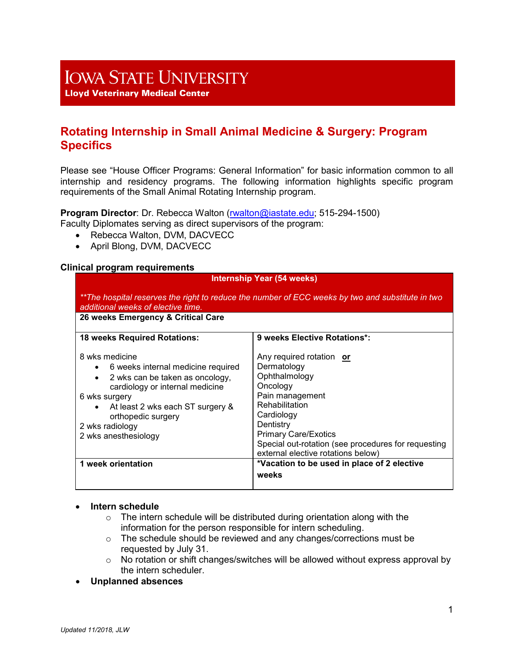# **IOWA STATE UNIVERSITY**

**Lloyd Veterinary Medical Center** 

# **Rotating Internship in Small Animal Medicine & Surgery: Program Specifics**

Please see "House Officer Programs: General Information" for basic information common to all internship and residency programs. The following information highlights specific program requirements of the Small Animal Rotating Internship program.

**Program Director**: Dr. Rebecca Walton [\(rwalton@iastate.edu;](mailto:rwalton@iastate.edu) 515-294-1500) Faculty Diplomates serving as direct supervisors of the program:

- Rebecca Walton, DVM, DACVECC
- April Blong, DVM, DACVECC

#### **Clinical program requirements**

#### **Internship Year (54 weeks)**

*\*\*The hospital reserves the right to reduce the number of ECC weeks by two and substitute in two additional weeks of elective time.*

**26 weeks Emergency & Critical Care** 

| <b>18 weeks Required Rotations:</b>                                                                                                                                                                                                                                                     | 9 weeks Elective Rotations*:                                                                                                                                                                                                                                     |
|-----------------------------------------------------------------------------------------------------------------------------------------------------------------------------------------------------------------------------------------------------------------------------------------|------------------------------------------------------------------------------------------------------------------------------------------------------------------------------------------------------------------------------------------------------------------|
| 8 wks medicine<br>6 weeks internal medicine required<br>$\bullet$<br>2 wks can be taken as oncology,<br>$\bullet$<br>cardiology or internal medicine<br>6 wks surgery<br>At least 2 wks each ST surgery &<br>$\bullet$<br>orthopedic surgery<br>2 wks radiology<br>2 wks anesthesiology | Any required rotation or<br>Dermatology<br>Ophthalmology<br>Oncology<br>Pain management<br>Rehabilitation<br>Cardiology<br>Dentistry<br><b>Primary Care/Exotics</b><br>Special out-rotation (see procedures for requesting<br>external elective rotations below) |
| 1 week orientation                                                                                                                                                                                                                                                                      | *Vacation to be used in place of 2 elective                                                                                                                                                                                                                      |
|                                                                                                                                                                                                                                                                                         | weeks                                                                                                                                                                                                                                                            |

#### • **Intern schedule**

- $\circ$  The intern schedule will be distributed during orientation along with the information for the person responsible for intern scheduling.
- o The schedule should be reviewed and any changes/corrections must be requested by July 31.
- $\circ$  No rotation or shift changes/switches will be allowed without express approval by the intern scheduler.
- **Unplanned absences**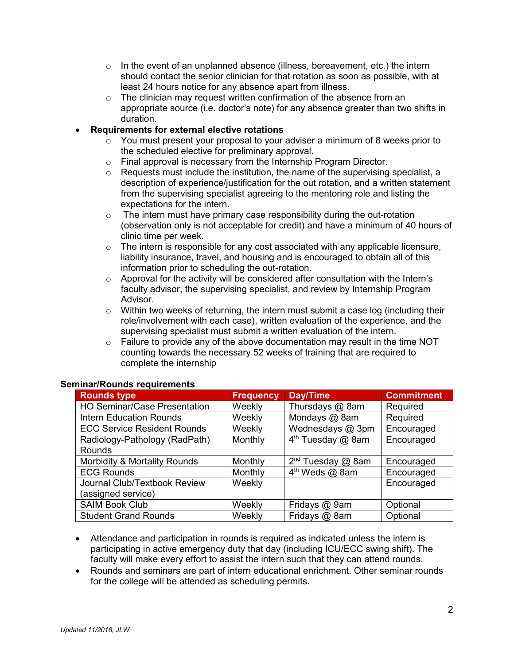- $\circ$  In the event of an unplanned absence (illness, bereavement, etc.) the intern should contact the senior clinician for that rotation as soon as possible, with at least 24 hours notice for any absence apart from illness.
- o The clinician may request written confirmation of the absence from an appropriate source (i.e. doctor's note) for any absence greater than two shifts in duration.

#### • **Requirements for external elective rotations**

- $\circ$  You must present your proposal to your adviser a minimum of 8 weeks prior to the scheduled elective for preliminary approval.
- o Final approval is necessary from the Internship Program Director.<br>○ Requests must include the institution, the name of the supervising
- Requests must include the institution, the name of the supervising specialist, a description of experience/justification for the out rotation, and a written statement from the supervising specialist agreeing to the mentoring role and listing the expectations for the intern.
- $\circ$  The intern must have primary case responsibility during the out-rotation (observation only is not acceptable for credit) and have a minimum of 40 hours of clinic time per week.
- $\circ$  The intern is responsible for any cost associated with any applicable licensure, liability insurance, travel, and housing and is encouraged to obtain all of this information prior to scheduling the out-rotation.
- $\circ$  Approval for the activity will be considered after consultation with the Intern's faculty advisor, the supervising specialist, and review by Internship Program Advisor.
- $\circ$  Within two weeks of returning, the intern must submit a case log (including their role/involvement with each case), written evaluation of the experience, and the supervising specialist must submit a written evaluation of the intern.
- $\circ$  Failure to provide any of the above documentation may result in the time NOT counting towards the necessary 52 weeks of training that are required to complete the internship

| <b>Rounds type</b>                  | <b>Frequency</b> | Day/Time                      | <b>Commitment</b> |
|-------------------------------------|------------------|-------------------------------|-------------------|
| <b>HO Seminar/Case Presentation</b> | Weekly           | Thursdays @ 8am               | Required          |
| <b>Intern Education Rounds</b>      | Weekly           | Mondays @ 8am                 | Required          |
| <b>ECC Service Resident Rounds</b>  | Weekly           | Wednesdays $@$ 3pm            | Encouraged        |
| Radiology-Pathology (RadPath)       | Monthly          | 4 <sup>th</sup> Tuesday @ 8am | Encouraged        |
| <b>Rounds</b>                       |                  |                               |                   |
| Morbidity & Mortality Rounds        | Monthly          | $2nd$ Tuesday $@$ 8am         | Encouraged        |
| <b>ECG Rounds</b>                   | Monthly          | 4 <sup>th</sup> Weds @ 8am    | Encouraged        |
| Journal Club/Textbook Review        | Weekly           |                               | Encouraged        |
| (assigned service)                  |                  |                               |                   |
| <b>SAIM Book Club</b>               | Weekly           | Fridays @ 9am                 | Optional          |
| <b>Student Grand Rounds</b>         | Weekly           | Fridays @ 8am                 | Optional          |

#### **Seminar/Rounds requirements**

- Attendance and participation in rounds is required as indicated unless the intern is participating in active emergency duty that day (including ICU/ECC swing shift). The faculty will make every effort to assist the intern such that they can attend rounds.
- Rounds and seminars are part of intern educational enrichment. Other seminar rounds for the college will be attended as scheduling permits.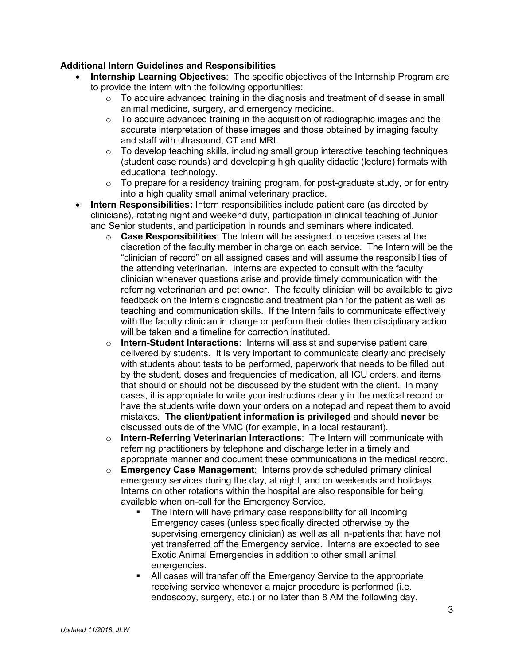## **Additional Intern Guidelines and Responsibilities**

- **Internship Learning Objectives**:The specific objectives of the Internship Program are to provide the intern with the following opportunities:
	- $\circ$  To acquire advanced training in the diagnosis and treatment of disease in small animal medicine, surgery, and emergency medicine.
	- $\circ$  To acquire advanced training in the acquisition of radiographic images and the accurate interpretation of these images and those obtained by imaging faculty and staff with ultrasound, CT and MRI.
	- o To develop teaching skills, including small group interactive teaching techniques (student case rounds) and developing high quality didactic (lecture) formats with educational technology.
	- $\circ$  To prepare for a residency training program, for post-graduate study, or for entry into a high quality small animal veterinary practice.
- **Intern Responsibilities:** Intern responsibilities include patient care (as directed by clinicians), rotating night and weekend duty, participation in clinical teaching of Junior and Senior students, and participation in rounds and seminars where indicated.
	- o **Case Responsibilities**: The Intern will be assigned to receive cases at the discretion of the faculty member in charge on each service. The Intern will be the "clinician of record" on all assigned cases and will assume the responsibilities of the attending veterinarian. Interns are expected to consult with the faculty clinician whenever questions arise and provide timely communication with the referring veterinarian and pet owner. The faculty clinician will be available to give feedback on the Intern's diagnostic and treatment plan for the patient as well as teaching and communication skills. If the Intern fails to communicate effectively with the faculty clinician in charge or perform their duties then disciplinary action will be taken and a timeline for correction instituted.
	- o **Intern-Student Interactions**: Interns will assist and supervise patient care delivered by students. It is very important to communicate clearly and precisely with students about tests to be performed, paperwork that needs to be filled out by the student, doses and frequencies of medication, all ICU orders, and items that should or should not be discussed by the student with the client. In many cases, it is appropriate to write your instructions clearly in the medical record or have the students write down your orders on a notepad and repeat them to avoid mistakes. **The client/patient information is privileged** and should **never** be discussed outside of the VMC (for example, in a local restaurant).
	- o **Intern-Referring Veterinarian Interactions**: The Intern will communicate with referring practitioners by telephone and discharge letter in a timely and appropriate manner and document these communications in the medical record.
	- o **Emergency Case Management**: Interns provide scheduled primary clinical emergency services during the day, at night, and on weekends and holidays. Interns on other rotations within the hospital are also responsible for being available when on-call for the Emergency Service.
		- The Intern will have primary case responsibility for all incoming Emergency cases (unless specifically directed otherwise by the supervising emergency clinician) as well as all in-patients that have not yet transferred off the Emergency service. Interns are expected to see Exotic Animal Emergencies in addition to other small animal emergencies.
		- All cases will transfer off the Emergency Service to the appropriate receiving service whenever a major procedure is performed (i.e. endoscopy, surgery, etc.) or no later than 8 AM the following day.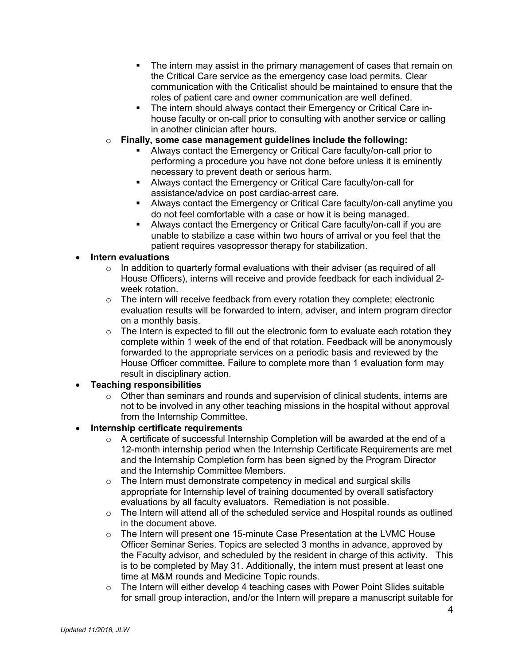- The intern may assist in the primary management of cases that remain on the Critical Care service as the emergency case load permits. Clear communication with the Criticalist should be maintained to ensure that the roles of patient care and owner communication are well defined.
- The intern should always contact their Emergency or Critical Care inhouse faculty or on-call prior to consulting with another service or calling in another clinician after hours.
- o **Finally, some case management guidelines include the following:** 
	- Always contact the Emergency or Critical Care faculty/on-call prior to performing a procedure you have not done before unless it is eminently necessary to prevent death or serious harm.
	- Always contact the Emergency or Critical Care faculty/on-call for assistance/advice on post cardiac-arrest care.
	- Always contact the Emergency or Critical Care faculty/on-call anytime you do not feel comfortable with a case or how it is being managed.
	- Always contact the Emergency or Critical Care faculty/on-call if you are unable to stabilize a case within two hours of arrival or you feel that the patient requires vasopressor therapy for stabilization.

## • **Intern evaluations**

- $\circ$  In addition to quarterly formal evaluations with their adviser (as required of all House Officers), interns will receive and provide feedback for each individual 2 week rotation.
- $\circ$  The intern will receive feedback from every rotation they complete; electronic evaluation results will be forwarded to intern, adviser, and intern program director on a monthly basis.
- $\circ$  The Intern is expected to fill out the electronic form to evaluate each rotation they complete within 1 week of the end of that rotation. Feedback will be anonymously forwarded to the appropriate services on a periodic basis and reviewed by the House Officer committee. Failure to complete more than 1 evaluation form may result in disciplinary action.

# • **Teaching responsibilities**

 $\circ$  Other than seminars and rounds and supervision of clinical students, interns are not to be involved in any other teaching missions in the hospital without approval from the Internship Committee.

# • **Internship certificate requirements**

- $\circ$  A certificate of successful Internship Completion will be awarded at the end of a 12-month internship period when the Internship Certificate Requirements are met and the Internship Completion form has been signed by the Program Director and the Internship Committee Members.
- $\circ$  The Intern must demonstrate competency in medical and surgical skills appropriate for Internship level of training documented by overall satisfactory evaluations by all faculty evaluators. Remediation is not possible.
- $\circ$  The Intern will attend all of the scheduled service and Hospital rounds as outlined in the document above.
- $\circ$  The Intern will present one 15-minute Case Presentation at the LVMC House Officer Seminar Series. Topics are selected 3 months in advance, approved by the Faculty advisor, and scheduled by the resident in charge of this activity. This is to be completed by May 31. Additionally, the intern must present at least one time at M&M rounds and Medicine Topic rounds.
- $\circ$  The Intern will either develop 4 teaching cases with Power Point Slides suitable for small group interaction, and/or the Intern will prepare a manuscript suitable for